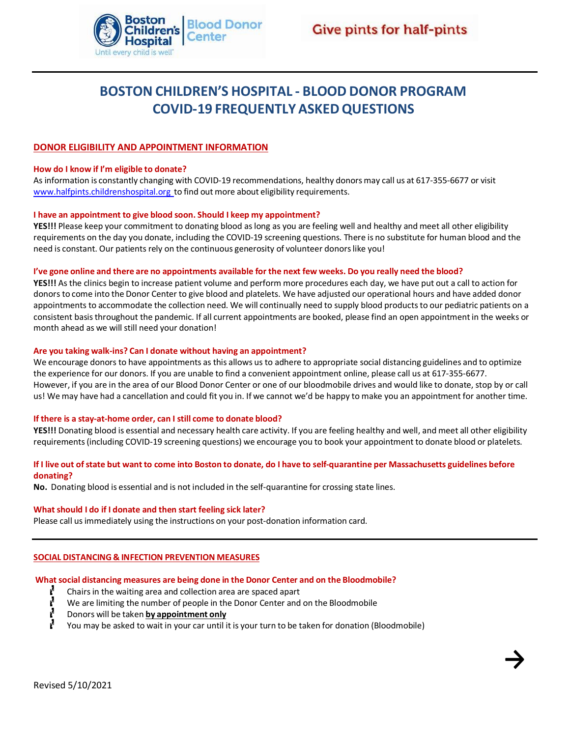

**→**

# **BOSTON CHILDREN'S HOSPITAL - BLOOD DONOR PROGRAM COVID-19 FREQUENTLY ASKEDQUESTIONS**

# **DONOR ELIGIBILITY AND APPOINTMENT INFORMATION**

# **How do I know if I'm eligible to donate?**

As information is constantly changing with COVID-19 recommendations, healthy donorsmay call us at 617-355-6677 or visit [www.halfpints.childrenshospital.org](http://www.halfpints.childrenshospital.org/) to find out more about eligibility requirements.

#### **I have an appointment to give blood soon. Should I keep my appointment?**

**YES!!!** Please keep your commitment to donating blood aslong as you are feeling well and healthy and meet all other eligibility requirements on the day you donate, including the COVID-19 screening questions. There is no substitute for human blood and the need is constant. Our patients rely on the continuous generosity of volunteer donors like you!

# I've gone online and there are no appointments available for the next few weeks. Do you really need the blood?

**YES!!!** As the clinics begin to increase patient volume and perform more procedures each day, we have put out a call to action for donors to come into the Donor Center to give blood and platelets. We have adjusted our operational hours and have added donor appointments to accommodate the collection need. We will continually need to supply blood products to our pediatric patients on a consistent basisthroughout the pandemic. If all current appointments are booked, please find an open appointmentin the weeks or month ahead as we will still need your donation!

#### **Are you taking walk-ins? Can I donate without having an appointment?**

We encourage donors to have appointments as this allows us to adhere to appropriate social distancing guidelines and to optimize the experience for our donors. If you are unable to find a convenient appointment online, please call us at 617-355-6677. However, if you are in the area of our Blood Donor Center or one of our bloodmobile drives and would like to donate, stop by or call us! We may have had a cancellation and could fit you in. If we cannot we'd be happy to make you an appointment for another time.

#### **If there is a stay-at-home order, can I still come to donate blood?**

**YES!!!** Donating blood is essential and necessary health care activity. If you are feeling healthy and well, and meet all other eligibility requirements (including COVID-19 screening questions) we encourage you to book your appointment to donate blood or platelets.

# If I live out of state but want to come into Boston to donate, do I have to self-quarantine per Massachusetts guidelines before **donating?**

**No.** Donating blood is essential and is not included in the self-quarantine for crossing state lines.

#### **What should I do if I donate and then start feeling sick later?**

Please call usimmediately using the instructions on your post-donation information card.

#### **SOCIAL DISTANCING & INFECTION PREVENTION MEASURES**

#### **What social distancing measures are being done in the Donor Center and on the Bloodmobile?**

- L Chairs in the waiting area and collection area are spaced apart
	- We are limiting the number of people in the Donor Center and on the Bloodmobile
- Ν Donors will be taken **by appointment only**
	- You may be asked to wait in your car until it is your turn to be taken for donation (Bloodmobile)

ľ.